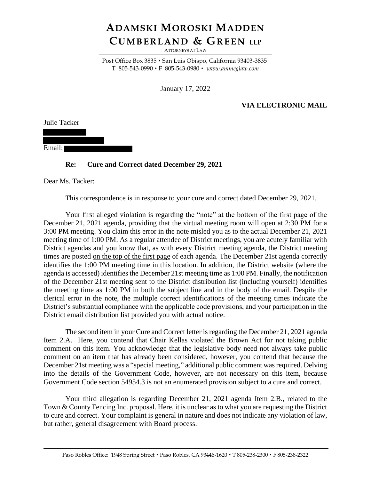## **ADAMSKI MOROSKI MADDEN CU M B E R L A N D & GR E E N LLP**

ATTORNEYS AT LAW

Post Office Box 3835 · San Luis Obispo, California 93403-3835 T 805-543-0990 F 805-543-0980 *www.ammcglaw.com*

January 17, 2022

## **VIA ELECTRONIC MAIL**

Julie Tacker

Email:

## **Re: Cure and Correct dated December 29, 2021**

Dear Ms. Tacker:

This correspondence is in response to your cure and correct dated December 29, 2021.

Your first alleged violation is regarding the "note" at the bottom of the first page of the December 21, 2021 agenda, providing that the virtual meeting room will open at 2:30 PM for a 3:00 PM meeting. You claim this error in the note misled you as to the actual December 21, 2021 meeting time of 1:00 PM. As a regular attendee of District meetings, you are acutely familiar with District agendas and you know that, as with every District meeting agenda, the District meeting times are posted on the top of the first page of each agenda. The December 21st agenda correctly identifies the 1:00 PM meeting time in this location. In addition, the District website (where the agenda is accessed) identifies the December 21st meeting time as 1:00 PM. Finally, the notification of the December 21st meeting sent to the District distribution list (including yourself) identifies the meeting time as 1:00 PM in both the subject line and in the body of the email. Despite the clerical error in the note, the multiple correct identifications of the meeting times indicate the District's substantial compliance with the applicable code provisions, and your participation in the District email distribution list provided you with actual notice.

The second item in your Cure and Correct letter is regarding the December 21, 2021 agenda Item 2.A. Here, you contend that Chair Kellas violated the Brown Act for not taking public comment on this item. You acknowledge that the legislative body need not always take public comment on an item that has already been considered, however, you contend that because the December 21st meeting was a "special meeting," additional public comment was required. Delving into the details of the Government Code, however, are not necessary on this item, because Government Code section 54954.3 is not an enumerated provision subject to a cure and correct.

Your third allegation is regarding December 21, 2021 agenda Item 2.B., related to the Town & County Fencing Inc. proposal. Here, it is unclear as to what you are requesting the District to cure and correct. Your complaint is general in nature and does not indicate any violation of law, but rather, general disagreement with Board process.